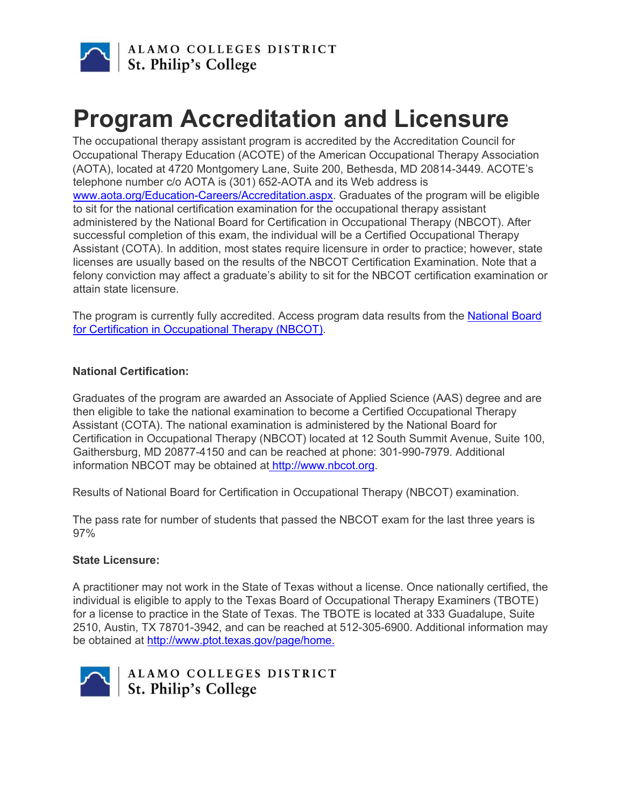

## **Program Accreditation and Licensure**

The occupational therapy assistant program is accredited by the Accreditation Council for Occupational Therapy Education (ACOTE) of the American Occupational Therapy Association (AOTA), located at 4720 Montgomery Lane, Suite 200, Bethesda, MD 20814-3449. ACOTE's telephone number c/o AOTA is (301) 652-AOTA and its Web address is www.aota.org/Education-Careers/Accreditation.aspx. Graduates of the program will be eligible to sit for the national certification examination for the occupational therapy assistant administered by the National Board for Certification in Occupational Therapy (NBCOT). After successful completion of this exam, the individual will be a Certified Occupational Therapy Assistant (COTA). In addition, most states require licensure in order to practice; however, state licenses are usually based on the results of the NBCOT Certification Examination. Note that a felony conviction may affect a graduate's ability to sit for the NBCOT certification examination or attain state licensure.

The program is currently fully accredited. Access program data results from the National Board for Certification in Occupational Therapy (NBCOT).

## **National Certification:**

Graduates of the program are awarded an Associate of Applied Science (AAS) degree and are then eligible to take the national examination to become a Certified Occupational Therapy Assistant (COTA). The national examination is administered by the National Board for Certification in Occupational Therapy (NBCOT) located at 12 South Summit Avenue, Suite 100, Gaithersburg, MD 20877-4150 and can be reached at phone: 301-990-7979. Additional information NBCOT may be obtained at http://www.nbcot.org.

Results of National Board for Certification in Occupational Therapy (NBCOT) examination.

The pass rate for number of students that passed the NBCOT exam for the last three years is 97%

## **State Licensure:**

A practitioner may not work in the State of Texas without a license. Once nationally certified, the individual is eligible to apply to the Texas Board of Occupational Therapy Examiners (TBOTE) for a license to practice in the State of Texas. The TBOTE is located at 333 Guadalupe, Suite 2510, Austin, TX 78701-3942, and can be reached at 512-305-6900. Additional information may be obtained at http://www.ptot.texas.gov/page/home.



ALAMO COLLEGES DISTRICT ALAMO COLLEGES